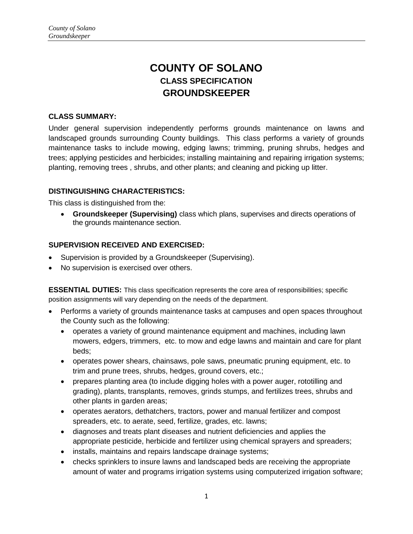# **COUNTY OF SOLANO CLASS SPECIFICATION GROUNDSKEEPER**

#### **CLASS SUMMARY:**

Under general supervision independently performs grounds maintenance on lawns and landscaped grounds surrounding County buildings. This class performs a variety of grounds maintenance tasks to include mowing, edging lawns; trimming, pruning shrubs, hedges and trees; applying pesticides and herbicides; installing maintaining and repairing irrigation systems; planting, removing trees , shrubs, and other plants; and cleaning and picking up litter.

#### **DISTINGUISHING CHARACTERISTICS:**

This class is distinguished from the:

 **Groundskeeper (Supervising)** class which plans, supervises and directs operations of the grounds maintenance section.

#### **SUPERVISION RECEIVED AND EXERCISED:**

- Supervision is provided by a Groundskeeper (Supervising).
- No supervision is exercised over others.

**ESSENTIAL DUTIES:** This class specification represents the core area of responsibilities; specific position assignments will vary depending on the needs of the department.

- Performs a variety of grounds maintenance tasks at campuses and open spaces throughout the County such as the following:
	- operates a variety of ground maintenance equipment and machines, including lawn mowers, edgers, trimmers, etc. to mow and edge lawns and maintain and care for plant beds;
	- operates power shears, chainsaws, pole saws, pneumatic pruning equipment, etc. to trim and prune trees, shrubs, hedges, ground covers, etc.;
	- prepares planting area (to include digging holes with a power auger, rototilling and grading), plants, transplants, removes, grinds stumps, and fertilizes trees, shrubs and other plants in garden areas;
	- operates aerators, dethatchers, tractors, power and manual fertilizer and compost spreaders, etc. to aerate, seed, fertilize, grades, etc. lawns;
	- diagnoses and treats plant diseases and nutrient deficiencies and applies the appropriate pesticide, herbicide and fertilizer using chemical sprayers and spreaders;
	- installs, maintains and repairs landscape drainage systems;
	- checks sprinklers to insure lawns and landscaped beds are receiving the appropriate amount of water and programs irrigation systems using computerized irrigation software;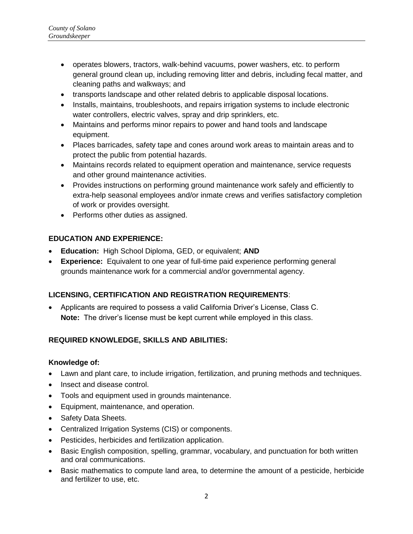- operates blowers, tractors, walk-behind vacuums, power washers, etc. to perform general ground clean up, including removing litter and debris, including fecal matter, and cleaning paths and walkways; and
- transports landscape and other related debris to applicable disposal locations.
- Installs, maintains, troubleshoots, and repairs irrigation systems to include electronic water controllers, electric valves, spray and drip sprinklers, etc.
- Maintains and performs minor repairs to power and hand tools and landscape equipment.
- Places barricades, safety tape and cones around work areas to maintain areas and to protect the public from potential hazards.
- Maintains records related to equipment operation and maintenance, service requests and other ground maintenance activities.
- Provides instructions on performing ground maintenance work safely and efficiently to extra-help seasonal employees and/or inmate crews and verifies satisfactory completion of work or provides oversight.
- Performs other duties as assigned.

## **EDUCATION AND EXPERIENCE:**

- **Education:** High School Diploma, GED, or equivalent; **AND**
- **Experience:** Equivalent to one year of full-time paid experience performing general grounds maintenance work for a commercial and/or governmental agency.

# **LICENSING, CERTIFICATION AND REGISTRATION REQUIREMENTS**:

 Applicants are required to possess a valid California Driver's License, Class C. **Note:** The driver's license must be kept current while employed in this class.

# **REQUIRED KNOWLEDGE, SKILLS AND ABILITIES:**

## **Knowledge of:**

- Lawn and plant care, to include irrigation, fertilization, and pruning methods and techniques.
- Insect and disease control.
- Tools and equipment used in grounds maintenance.
- Equipment, maintenance, and operation.
- Safety Data Sheets.
- Centralized Irrigation Systems (CIS) or components.
- Pesticides, herbicides and fertilization application.
- Basic English composition, spelling, grammar, vocabulary, and punctuation for both written and oral communications.
- Basic mathematics to compute land area, to determine the amount of a pesticide, herbicide and fertilizer to use, etc.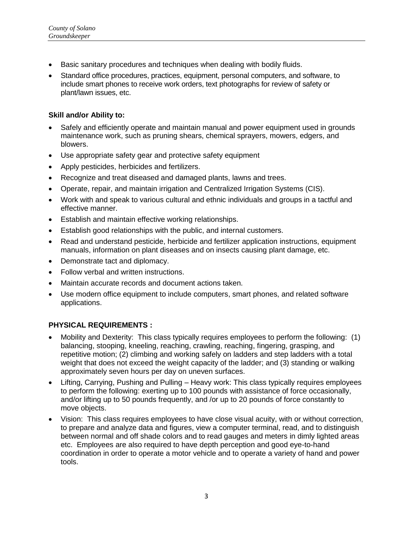- Basic sanitary procedures and techniques when dealing with bodily fluids.
- Standard office procedures, practices, equipment, personal computers, and software, to include smart phones to receive work orders, text photographs for review of safety or plant/lawn issues, etc.

#### **Skill and/or Ability to:**

- Safely and efficiently operate and maintain manual and power equipment used in grounds maintenance work, such as pruning shears, chemical sprayers, mowers, edgers, and blowers.
- Use appropriate safety gear and protective safety equipment
- Apply pesticides, herbicides and fertilizers.
- Recognize and treat diseased and damaged plants, lawns and trees.
- Operate, repair, and maintain irrigation and Centralized Irrigation Systems (CIS).
- Work with and speak to various cultural and ethnic individuals and groups in a tactful and effective manner.
- Establish and maintain effective working relationships.
- Establish good relationships with the public, and internal customers.
- Read and understand pesticide, herbicide and fertilizer application instructions, equipment manuals, information on plant diseases and on insects causing plant damage, etc.
- Demonstrate tact and diplomacy.
- Follow verbal and written instructions.
- Maintain accurate records and document actions taken.
- Use modern office equipment to include computers, smart phones, and related software applications.

## **PHYSICAL REQUIREMENTS :**

- Mobility and Dexterity: This class typically requires employees to perform the following: (1) balancing, stooping, kneeling, reaching, crawling, reaching, fingering, grasping, and repetitive motion; (2) climbing and working safely on ladders and step ladders with a total weight that does not exceed the weight capacity of the ladder; and (3) standing or walking approximately seven hours per day on uneven surfaces.
- Lifting, Carrying, Pushing and Pulling Heavy work: This class typically requires employees to perform the following: exerting up to 100 pounds with assistance of force occasionally, and/or lifting up to 50 pounds frequently, and /or up to 20 pounds of force constantly to move objects.
- Vision: This class requires employees to have close visual acuity, with or without correction, to prepare and analyze data and figures, view a computer terminal, read, and to distinguish between normal and off shade colors and to read gauges and meters in dimly lighted areas etc. Employees are also required to have depth perception and good eye-to-hand coordination in order to operate a motor vehicle and to operate a variety of hand and power tools.